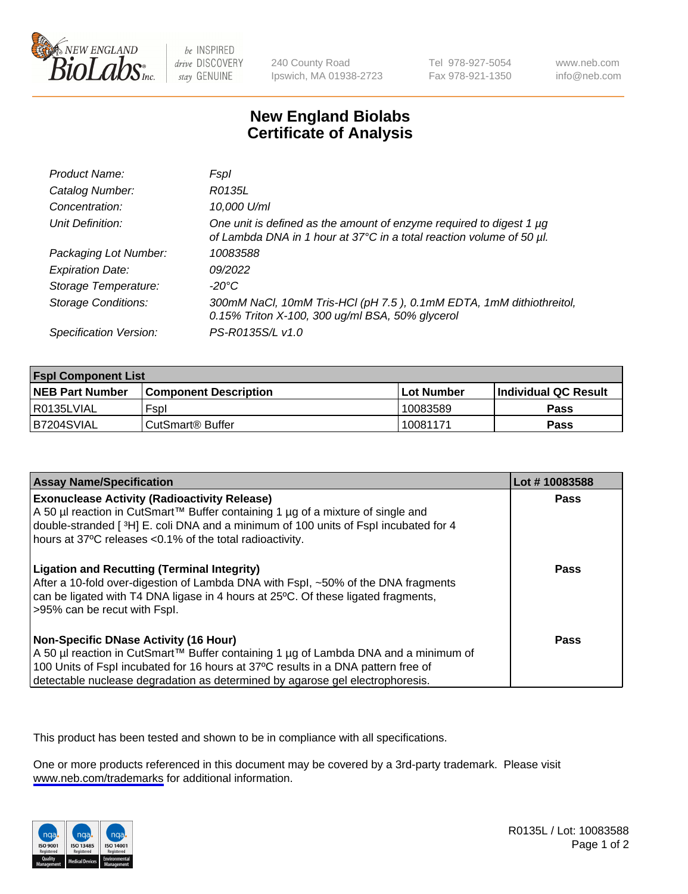

be INSPIRED drive DISCOVERY stay GENUINE

240 County Road Ipswich, MA 01938-2723 Tel 978-927-5054 Fax 978-921-1350

www.neb.com info@neb.com

## **New England Biolabs Certificate of Analysis**

| Product Name:              | <b>Fspl</b>                                                                                                                                 |
|----------------------------|---------------------------------------------------------------------------------------------------------------------------------------------|
| Catalog Number:            | R0135L                                                                                                                                      |
| Concentration:             | 10,000 U/ml                                                                                                                                 |
| Unit Definition:           | One unit is defined as the amount of enzyme required to digest 1 µg<br>of Lambda DNA in 1 hour at 37°C in a total reaction volume of 50 µl. |
| Packaging Lot Number:      | 10083588                                                                                                                                    |
| <b>Expiration Date:</b>    | 09/2022                                                                                                                                     |
| Storage Temperature:       | $-20^{\circ}$ C                                                                                                                             |
| <b>Storage Conditions:</b> | 300mM NaCl, 10mM Tris-HCl (pH 7.5), 0.1mM EDTA, 1mM dithiothreitol,<br>0.15% Triton X-100, 300 ug/ml BSA, 50% glycerol                      |
| Specification Version:     | PS-R0135S/L v1.0                                                                                                                            |

| <b>Fspl Component List</b> |                              |             |                             |  |
|----------------------------|------------------------------|-------------|-----------------------------|--|
| <b>NEB Part Number</b>     | <b>Component Description</b> | ⊺Lot Number | <b>Individual QC Result</b> |  |
| R0135LVIAL                 | Fspl                         | 10083589    | <b>Pass</b>                 |  |
| B7204SVIAL                 | ' CutSmart® Buffer_          | 10081171    | Pass                        |  |

| <b>Assay Name/Specification</b>                                                                                                                                                                                                                                                                           | Lot #10083588 |
|-----------------------------------------------------------------------------------------------------------------------------------------------------------------------------------------------------------------------------------------------------------------------------------------------------------|---------------|
| <b>Exonuclease Activity (Radioactivity Release)</b><br>A 50 µl reaction in CutSmart™ Buffer containing 1 µg of a mixture of single and<br>double-stranded [3H] E. coli DNA and a minimum of 100 units of Fspl incubated for 4<br>hours at 37°C releases <0.1% of the total radioactivity.                 | Pass          |
| <b>Ligation and Recutting (Terminal Integrity)</b><br>After a 10-fold over-digestion of Lambda DNA with Fspl, ~50% of the DNA fragments<br>can be ligated with T4 DNA ligase in 4 hours at 25 °C. Of these ligated fragments,<br>>95% can be recut with Fspl.                                             | Pass          |
| <b>Non-Specific DNase Activity (16 Hour)</b><br>A 50 µl reaction in CutSmart™ Buffer containing 1 µg of Lambda DNA and a minimum of<br>100 Units of Fspl incubated for 16 hours at 37°C results in a DNA pattern free of<br>detectable nuclease degradation as determined by agarose gel electrophoresis. | <b>Pass</b>   |

This product has been tested and shown to be in compliance with all specifications.

One or more products referenced in this document may be covered by a 3rd-party trademark. Please visit <www.neb.com/trademarks>for additional information.